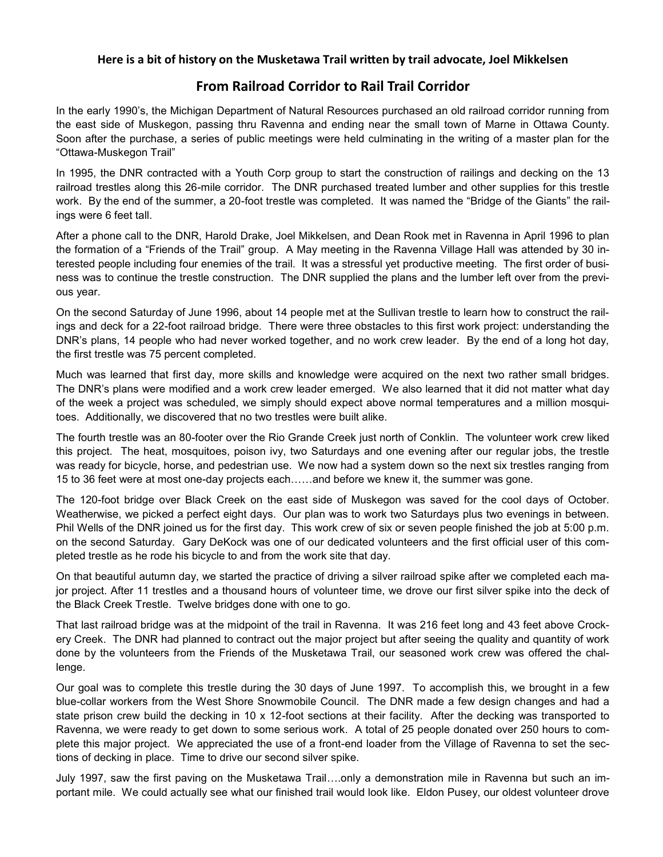## **Here is a bit of history on the Musketawa Trail written by trail advocate, Joel Mikkelsen**

## **From Railroad Corridor to Rail Trail Corridor**

In the early 1990's, the Michigan Department of Natural Resources purchased an old railroad corridor running from the east side of Muskegon, passing thru Ravenna and ending near the small town of Marne in Ottawa County. Soon after the purchase, a series of public meetings were held culminating in the writing of a master plan for the "Ottawa-Muskegon Trail"

In 1995, the DNR contracted with a Youth Corp group to start the construction of railings and decking on the 13 railroad trestles along this 26-mile corridor. The DNR purchased treated lumber and other supplies for this trestle work. By the end of the summer, a 20-foot trestle was completed. It was named the "Bridge of the Giants" the railings were 6 feet tall.

After a phone call to the DNR, Harold Drake, Joel Mikkelsen, and Dean Rook met in Ravenna in April 1996 to plan the formation of a "Friends of the Trail" group. A May meeting in the Ravenna Village Hall was attended by 30 interested people including four enemies of the trail. It was a stressful yet productive meeting. The first order of business was to continue the trestle construction. The DNR supplied the plans and the lumber left over from the previous year.

On the second Saturday of June 1996, about 14 people met at the Sullivan trestle to learn how to construct the railings and deck for a 22-foot railroad bridge. There were three obstacles to this first work project: understanding the DNR's plans, 14 people who had never worked together, and no work crew leader. By the end of a long hot day, the first trestle was 75 percent completed.

Much was learned that first day, more skills and knowledge were acquired on the next two rather small bridges. The DNR's plans were modified and a work crew leader emerged. We also learned that it did not matter what day of the week a project was scheduled, we simply should expect above normal temperatures and a million mosquitoes. Additionally, we discovered that no two trestles were built alike.

The fourth trestle was an 80-footer over the Rio Grande Creek just north of Conklin. The volunteer work crew liked this project. The heat, mosquitoes, poison ivy, two Saturdays and one evening after our regular jobs, the trestle was ready for bicycle, horse, and pedestrian use. We now had a system down so the next six trestles ranging from 15 to 36 feet were at most one-day projects each……and before we knew it, the summer was gone.

The 120-foot bridge over Black Creek on the east side of Muskegon was saved for the cool days of October. Weatherwise, we picked a perfect eight days. Our plan was to work two Saturdays plus two evenings in between. Phil Wells of the DNR joined us for the first day. This work crew of six or seven people finished the job at 5:00 p.m. on the second Saturday. Gary DeKock was one of our dedicated volunteers and the first official user of this completed trestle as he rode his bicycle to and from the work site that day.

On that beautiful autumn day, we started the practice of driving a silver railroad spike after we completed each major project. After 11 trestles and a thousand hours of volunteer time, we drove our first silver spike into the deck of the Black Creek Trestle. Twelve bridges done with one to go.

That last railroad bridge was at the midpoint of the trail in Ravenna. It was 216 feet long and 43 feet above Crockery Creek. The DNR had planned to contract out the major project but after seeing the quality and quantity of work done by the volunteers from the Friends of the Musketawa Trail, our seasoned work crew was offered the challenge.

Our goal was to complete this trestle during the 30 days of June 1997. To accomplish this, we brought in a few blue-collar workers from the West Shore Snowmobile Council. The DNR made a few design changes and had a state prison crew build the decking in 10 x 12-foot sections at their facility. After the decking was transported to Ravenna, we were ready to get down to some serious work. A total of 25 people donated over 250 hours to complete this major project. We appreciated the use of a front-end loader from the Village of Ravenna to set the sections of decking in place. Time to drive our second silver spike.

July 1997, saw the first paving on the Musketawa Trail….only a demonstration mile in Ravenna but such an important mile. We could actually see what our finished trail would look like. Eldon Pusey, our oldest volunteer drove